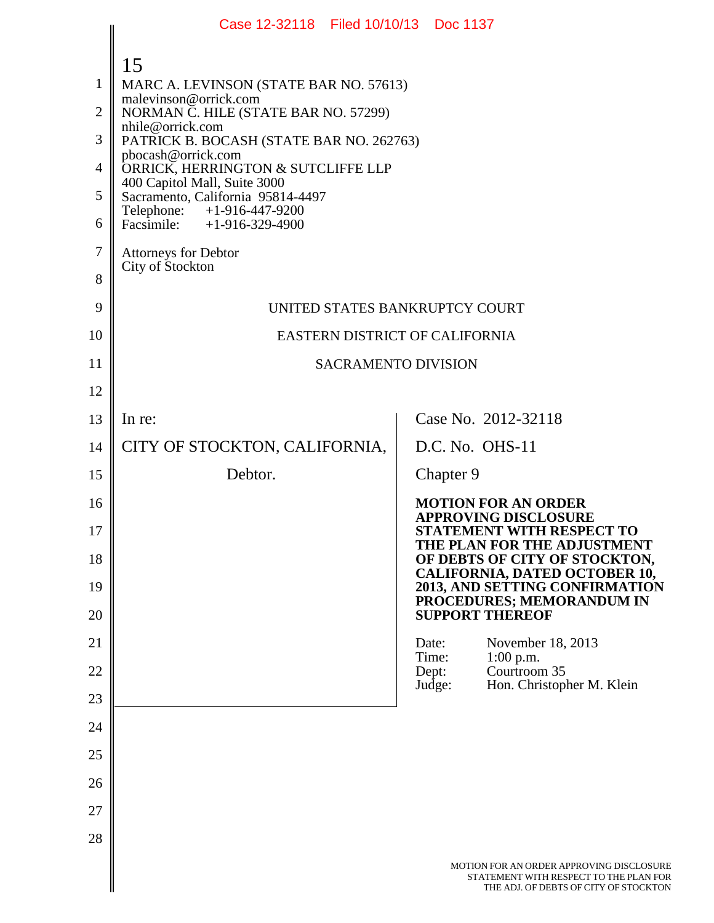|                                                                     | Case 12-32118 Filed 10/10/13 Doc 1137                                                                                                                                                                                                                                                                                                                                                                                           |                                                                                                                             |
|---------------------------------------------------------------------|---------------------------------------------------------------------------------------------------------------------------------------------------------------------------------------------------------------------------------------------------------------------------------------------------------------------------------------------------------------------------------------------------------------------------------|-----------------------------------------------------------------------------------------------------------------------------|
| 1<br>$\overline{2}$<br>3<br>$\overline{4}$<br>5<br>6<br>$\tau$<br>8 | 15<br>MARC A. LEVINSON (STATE BAR NO. 57613)<br>malevinson@orrick.com<br>NORMAN C. HILE (STATE BAR NO. 57299)<br>nhile@orrick.com<br>PATRICK B. BOCASH (STATE BAR NO. 262763)<br>pbocash@orrick.com<br>ORRICK, HERRINGTON & SUTCLIFFE LLP<br>400 Capitol Mall, Suite 3000<br>Sacramento, California 95814-4497<br>Telephone: +1-916-447-9200<br>Facsimile: $+1-916-329-4900$<br><b>Attorneys for Debtor</b><br>City of Stockton |                                                                                                                             |
| 9                                                                   | UNITED STATES BANKRUPTCY COURT                                                                                                                                                                                                                                                                                                                                                                                                  |                                                                                                                             |
| 10                                                                  | EASTERN DISTRICT OF CALIFORNIA                                                                                                                                                                                                                                                                                                                                                                                                  |                                                                                                                             |
| 11                                                                  | <b>SACRAMENTO DIVISION</b>                                                                                                                                                                                                                                                                                                                                                                                                      |                                                                                                                             |
| 12                                                                  |                                                                                                                                                                                                                                                                                                                                                                                                                                 |                                                                                                                             |
| 13                                                                  | In re:                                                                                                                                                                                                                                                                                                                                                                                                                          | Case No. 2012-32118                                                                                                         |
| 14                                                                  | CITY OF STOCKTON, CALIFORNIA,                                                                                                                                                                                                                                                                                                                                                                                                   | D.C. No. OHS-11                                                                                                             |
| 15                                                                  | Debtor.                                                                                                                                                                                                                                                                                                                                                                                                                         | Chapter 9                                                                                                                   |
| 16<br>17                                                            |                                                                                                                                                                                                                                                                                                                                                                                                                                 | <b>MOTION FOR AN ORDER</b><br><b>APPROVING DISCLOSURE</b><br><b>STATEMENT WITH RESPECT TO</b>                               |
| 18                                                                  |                                                                                                                                                                                                                                                                                                                                                                                                                                 | THE PLAN FOR THE ADJUSTMENT<br>OF DEBTS OF CITY OF STOCKTON,<br>CALIFORNIA, DATED OCTOBER 10,                               |
| 19                                                                  |                                                                                                                                                                                                                                                                                                                                                                                                                                 | 2013, AND SETTING CONFIRMATION<br>PROCEDURES; MEMORANDUM IN                                                                 |
| 20                                                                  |                                                                                                                                                                                                                                                                                                                                                                                                                                 | <b>SUPPORT THEREOF</b>                                                                                                      |
| 21<br>22                                                            |                                                                                                                                                                                                                                                                                                                                                                                                                                 | November 18, 2013<br>Date:<br>Time:<br>$1:00$ p.m.<br>Courtroom 35<br>Dept:                                                 |
| 23                                                                  |                                                                                                                                                                                                                                                                                                                                                                                                                                 | Judge:<br>Hon. Christopher M. Klein                                                                                         |
| 24                                                                  |                                                                                                                                                                                                                                                                                                                                                                                                                                 |                                                                                                                             |
| 25                                                                  |                                                                                                                                                                                                                                                                                                                                                                                                                                 |                                                                                                                             |
| 26                                                                  |                                                                                                                                                                                                                                                                                                                                                                                                                                 |                                                                                                                             |
| 27                                                                  |                                                                                                                                                                                                                                                                                                                                                                                                                                 |                                                                                                                             |
| 28                                                                  |                                                                                                                                                                                                                                                                                                                                                                                                                                 |                                                                                                                             |
|                                                                     |                                                                                                                                                                                                                                                                                                                                                                                                                                 | MOTION FOR AN ORDER APPROVING DISCLOSURE<br>STATEMENT WITH RESPECT TO THE PLAN FOR<br>THE ADJ. OF DEBTS OF CITY OF STOCKTON |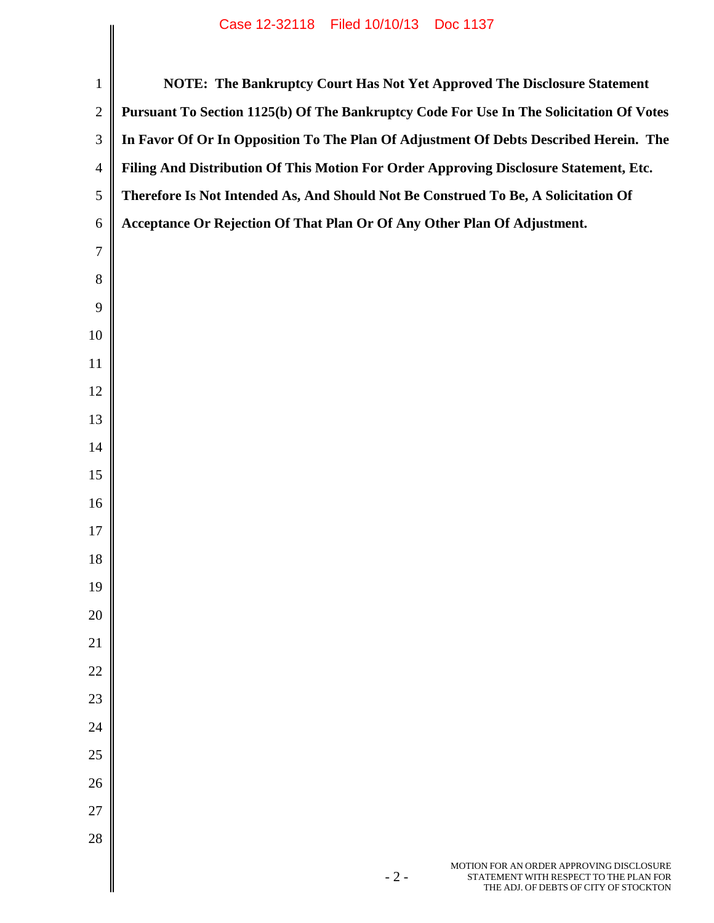|                | Case IS-32110 Liled IOIIOII3 DOC II31                                                                                                |
|----------------|--------------------------------------------------------------------------------------------------------------------------------------|
| $\mathbf{1}$   | NOTE: The Bankruptcy Court Has Not Yet Approved The Disclosure Statement                                                             |
| $\overline{2}$ | Pursuant To Section 1125(b) Of The Bankruptcy Code For Use In The Solicitation Of Votes                                              |
| 3              | In Favor Of Or In Opposition To The Plan Of Adjustment Of Debts Described Herein. The                                                |
| $\overline{4}$ | Filing And Distribution Of This Motion For Order Approving Disclosure Statement, Etc.                                                |
| 5              | Therefore Is Not Intended As, And Should Not Be Construed To Be, A Solicitation Of                                                   |
| 6              | Acceptance Or Rejection Of That Plan Or Of Any Other Plan Of Adjustment.                                                             |
| $\overline{7}$ |                                                                                                                                      |
| 8              |                                                                                                                                      |
| 9              |                                                                                                                                      |
| 10             |                                                                                                                                      |
| 11             |                                                                                                                                      |
| 12             |                                                                                                                                      |
| 13             |                                                                                                                                      |
| 14             |                                                                                                                                      |
| 15             |                                                                                                                                      |
| 16             |                                                                                                                                      |
| 17             |                                                                                                                                      |
| 18             |                                                                                                                                      |
| 19             |                                                                                                                                      |
| 20             |                                                                                                                                      |
| 21             |                                                                                                                                      |
| 22             |                                                                                                                                      |
| 23             |                                                                                                                                      |
| 24             |                                                                                                                                      |
| 25             |                                                                                                                                      |
| 26             |                                                                                                                                      |
| 27             |                                                                                                                                      |
| 28             |                                                                                                                                      |
|                | MOTION FOR AN ORDER APPROVING DISCLOSURE<br>$-2-$<br>STATEMENT WITH RESPECT TO THE PLAN FOR<br>THE ADJ. OF DEBTS OF CITY OF STOCKTON |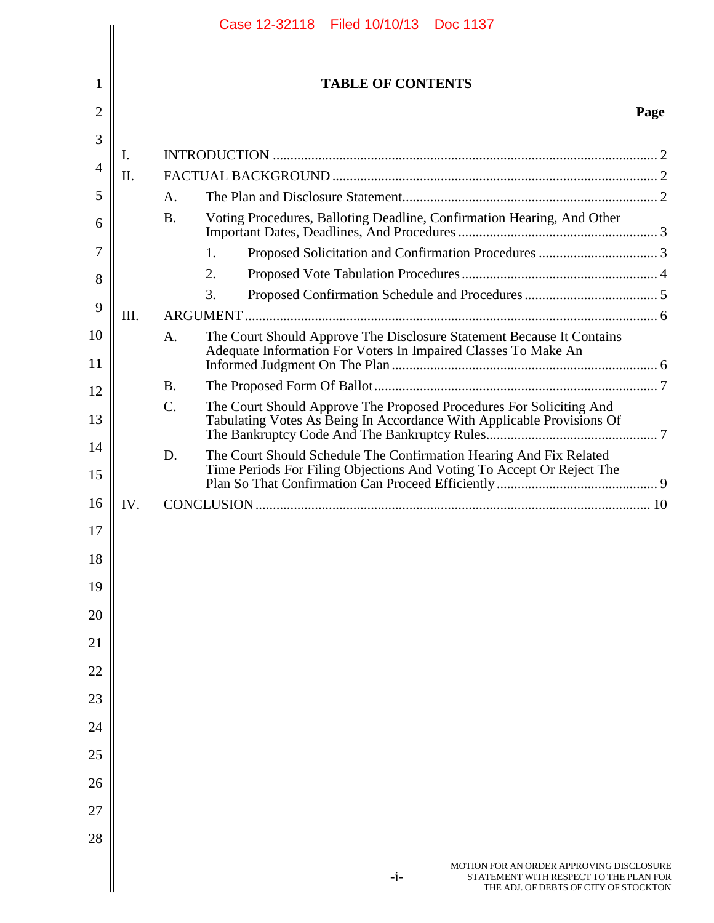|          |          |           | Case 12-32118   Filed 10/10/13   Doc 1137                                                                                                    |      |
|----------|----------|-----------|----------------------------------------------------------------------------------------------------------------------------------------------|------|
|          |          |           |                                                                                                                                              |      |
| 1        |          |           | <b>TABLE OF CONTENTS</b>                                                                                                                     |      |
| 2        |          |           |                                                                                                                                              | Page |
| 3        |          |           |                                                                                                                                              |      |
| 4        | Ι.<br>П. |           |                                                                                                                                              |      |
| 5        |          | A.        |                                                                                                                                              |      |
| 6        |          | <b>B.</b> | Voting Procedures, Balloting Deadline, Confirmation Hearing, And Other                                                                       |      |
|          |          |           |                                                                                                                                              |      |
| 7        |          |           | 1.                                                                                                                                           |      |
| 8        |          |           | 2.                                                                                                                                           |      |
| 9        |          |           | 3.                                                                                                                                           |      |
| 10       | III.     |           |                                                                                                                                              |      |
| 11       |          | A.        | The Court Should Approve The Disclosure Statement Because It Contains<br>Adequate Information For Voters In Impaired Classes To Make An      |      |
| 12       |          | <b>B.</b> |                                                                                                                                              |      |
| 13       |          | $C$ .     | The Court Should Approve The Proposed Procedures For Soliciting And<br>Tabulating Votes As Being In Accordance With Applicable Provisions Of |      |
| 14<br>15 |          | D.        | The Court Should Schedule The Confirmation Hearing And Fix Related<br>Time Periods For Filing Objections And Voting To Accept Or Reject The  |      |
| 16       | IV.      |           |                                                                                                                                              |      |
| 17       |          |           |                                                                                                                                              |      |
| 18       |          |           |                                                                                                                                              |      |
| 19       |          |           |                                                                                                                                              |      |
| 20       |          |           |                                                                                                                                              |      |
| 21       |          |           |                                                                                                                                              |      |
| 22       |          |           |                                                                                                                                              |      |
|          |          |           |                                                                                                                                              |      |
| 23       |          |           |                                                                                                                                              |      |
| 24       |          |           |                                                                                                                                              |      |
| 25       |          |           |                                                                                                                                              |      |
| 26       |          |           |                                                                                                                                              |      |
| 27       |          |           |                                                                                                                                              |      |
| 28       |          |           |                                                                                                                                              |      |
|          |          |           | MOTION FOR AN ORDER APPROVING DISCLOSURE<br>$-i-$<br>STATEMENT WITH RESPECT TO THE PLAN FOR<br>THE ADJ. OF DEBTS OF CITY OF STOCKTON         |      |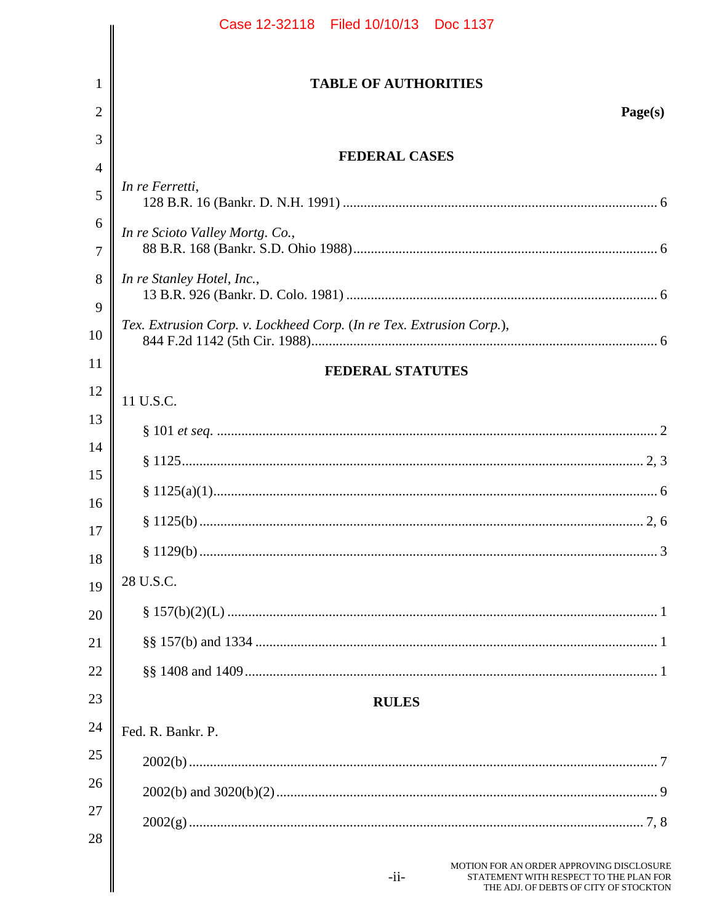|                | Case 12-32118  Filed 10/10/13  Doc 1137                                                                                                |
|----------------|----------------------------------------------------------------------------------------------------------------------------------------|
|                |                                                                                                                                        |
| 1              | <b>TABLE OF AUTHORITIES</b>                                                                                                            |
| $\overline{2}$ | Page(s)                                                                                                                                |
| 3              |                                                                                                                                        |
| $\overline{4}$ | <b>FEDERAL CASES</b>                                                                                                                   |
| 5              | In re Ferretti,                                                                                                                        |
| 6              | In re Scioto Valley Mortg. Co.,                                                                                                        |
| 7              |                                                                                                                                        |
| 8              | In re Stanley Hotel, Inc.,                                                                                                             |
| 9              |                                                                                                                                        |
| 10             | Tex. Extrusion Corp. v. Lockheed Corp. (In re Tex. Extrusion Corp.),                                                                   |
| 11             | <b>FEDERAL STATUTES</b>                                                                                                                |
| 12             | 11 U.S.C.                                                                                                                              |
| 13             |                                                                                                                                        |
| 14             |                                                                                                                                        |
| 15             |                                                                                                                                        |
| 16             |                                                                                                                                        |
| 17<br>18       |                                                                                                                                        |
| 19             | 28 U.S.C.                                                                                                                              |
| 20             |                                                                                                                                        |
| 21             |                                                                                                                                        |
| 22             |                                                                                                                                        |
| 23             | <b>RULES</b>                                                                                                                           |
| 24             | Fed. R. Bankr. P.                                                                                                                      |
| 25             |                                                                                                                                        |
| 26             |                                                                                                                                        |
| 27             |                                                                                                                                        |
| 28             |                                                                                                                                        |
|                | MOTION FOR AN ORDER APPROVING DISCLOSURE<br>$-i$ i-<br>STATEMENT WITH RESPECT TO THE PLAN FOR<br>THE ADJ. OF DEBTS OF CITY OF STOCKTON |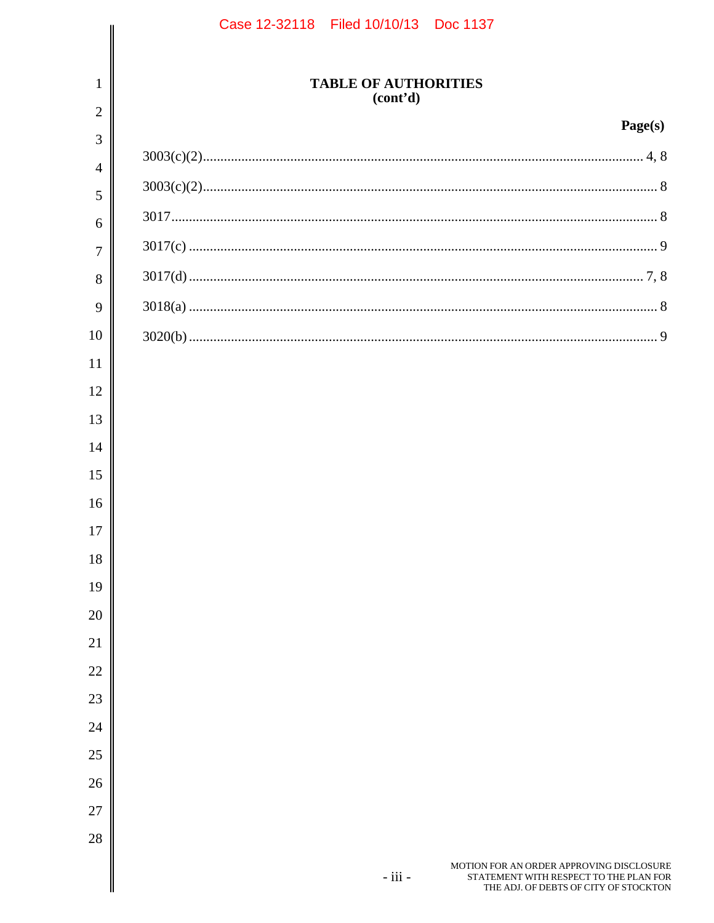| Case 12-32118 Filed 10/10/13 Doc 1137 |                                         |                                                                                                                             |
|---------------------------------------|-----------------------------------------|-----------------------------------------------------------------------------------------------------------------------------|
|                                       |                                         |                                                                                                                             |
|                                       | <b>TABLE OF AUTHORITIES</b><br>(cont'd) |                                                                                                                             |
|                                       |                                         | Page(s)                                                                                                                     |
|                                       |                                         |                                                                                                                             |
|                                       |                                         |                                                                                                                             |
|                                       |                                         |                                                                                                                             |
|                                       |                                         |                                                                                                                             |
|                                       |                                         |                                                                                                                             |
|                                       |                                         |                                                                                                                             |
|                                       |                                         |                                                                                                                             |
|                                       |                                         |                                                                                                                             |
|                                       |                                         |                                                                                                                             |
|                                       |                                         |                                                                                                                             |
|                                       |                                         |                                                                                                                             |
|                                       |                                         |                                                                                                                             |
|                                       |                                         |                                                                                                                             |
|                                       |                                         |                                                                                                                             |
|                                       |                                         |                                                                                                                             |
|                                       |                                         |                                                                                                                             |
|                                       |                                         |                                                                                                                             |
|                                       |                                         |                                                                                                                             |
|                                       |                                         |                                                                                                                             |
|                                       |                                         |                                                                                                                             |
|                                       |                                         |                                                                                                                             |
|                                       |                                         |                                                                                                                             |
|                                       |                                         |                                                                                                                             |
|                                       |                                         |                                                                                                                             |
|                                       |                                         |                                                                                                                             |
|                                       | - iii -                                 | MOTION FOR AN ORDER APPROVING DISCLOSURE<br>STATEMENT WITH RESPECT TO THE PLAN FOR<br>THE ADJ. OF DEBTS OF CITY OF STOCKTON |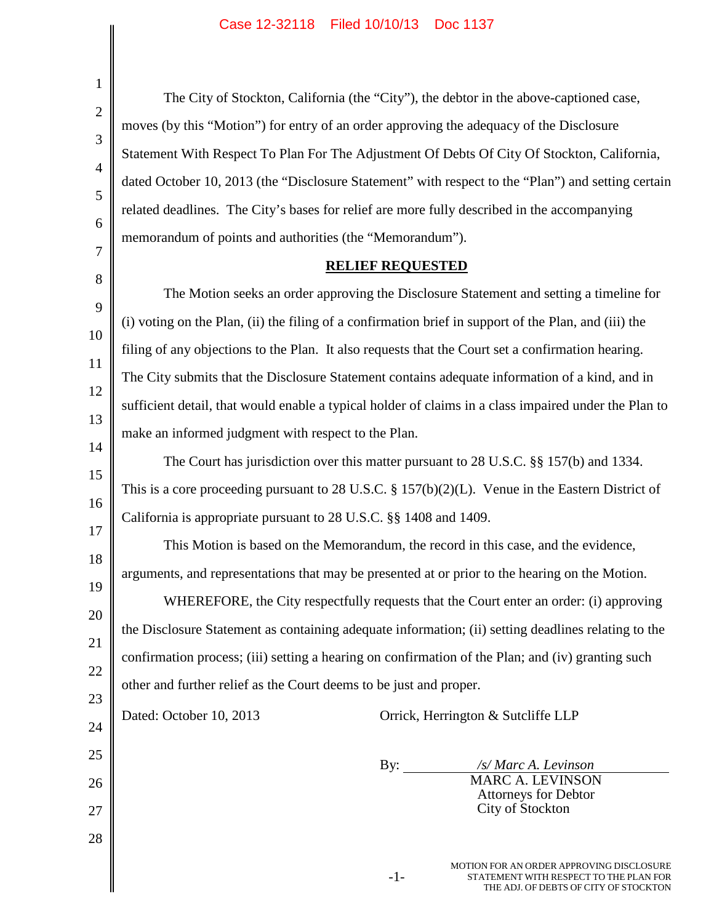$\overline{\phantom{a}}$ 

 $\mathsf{l}$ 

| 1                                                                                                       |                                                                                                                                                                                        |  |  |  |  |  |
|---------------------------------------------------------------------------------------------------------|----------------------------------------------------------------------------------------------------------------------------------------------------------------------------------------|--|--|--|--|--|
| $\mathbf{2}$                                                                                            | The City of Stockton, California (the "City"), the debtor in the above-captioned case,                                                                                                 |  |  |  |  |  |
| 3                                                                                                       | moves (by this "Motion") for entry of an order approving the adequacy of the Disclosure<br>Statement With Respect To Plan For The Adjustment Of Debts Of City Of Stockton, California, |  |  |  |  |  |
| $\overline{4}$                                                                                          |                                                                                                                                                                                        |  |  |  |  |  |
| dated October 10, 2013 (the "Disclosure Statement" with respect to the "Plan") and setting certain<br>5 |                                                                                                                                                                                        |  |  |  |  |  |
|                                                                                                         | related deadlines. The City's bases for relief are more fully described in the accompanying                                                                                            |  |  |  |  |  |
| 6                                                                                                       | memorandum of points and authorities (the "Memorandum").                                                                                                                               |  |  |  |  |  |
| 7<br><b>RELIEF REQUESTED</b>                                                                            |                                                                                                                                                                                        |  |  |  |  |  |
| 8                                                                                                       | The Motion seeks an order approving the Disclosure Statement and setting a timeline for                                                                                                |  |  |  |  |  |
| 9                                                                                                       | (i) voting on the Plan, (ii) the filing of a confirmation brief in support of the Plan, and (iii) the                                                                                  |  |  |  |  |  |
| 10                                                                                                      | filing of any objections to the Plan. It also requests that the Court set a confirmation hearing.                                                                                      |  |  |  |  |  |
| 11                                                                                                      | The City submits that the Disclosure Statement contains adequate information of a kind, and in                                                                                         |  |  |  |  |  |
| 12                                                                                                      | sufficient detail, that would enable a typical holder of claims in a class impaired under the Plan to                                                                                  |  |  |  |  |  |
| 13                                                                                                      | make an informed judgment with respect to the Plan.<br>The Court has jurisdiction over this matter pursuant to 28 U.S.C. §§ 157(b) and 1334.                                           |  |  |  |  |  |
| 14                                                                                                      |                                                                                                                                                                                        |  |  |  |  |  |
| 15                                                                                                      | This is a core proceeding pursuant to 28 U.S.C. $\S 157(b)(2)(L)$ . Venue in the Eastern District of                                                                                   |  |  |  |  |  |
| 16                                                                                                      | California is appropriate pursuant to 28 U.S.C. §§ 1408 and 1409.                                                                                                                      |  |  |  |  |  |
| 17<br>18                                                                                                | This Motion is based on the Memorandum, the record in this case, and the evidence,                                                                                                     |  |  |  |  |  |
| 19                                                                                                      | arguments, and representations that may be presented at or prior to the hearing on the Motion.                                                                                         |  |  |  |  |  |
| 20                                                                                                      | WHEREFORE, the City respectfully requests that the Court enter an order: (i) approving                                                                                                 |  |  |  |  |  |
| 21                                                                                                      | the Disclosure Statement as containing adequate information; (ii) setting deadlines relating to the                                                                                    |  |  |  |  |  |
| 22                                                                                                      | confirmation process; (iii) setting a hearing on confirmation of the Plan; and (iv) granting such                                                                                      |  |  |  |  |  |
| 23                                                                                                      | other and further relief as the Court deems to be just and proper.                                                                                                                     |  |  |  |  |  |
| 24                                                                                                      | Dated: October 10, 2013<br>Orrick, Herrington & Sutcliffe LLP                                                                                                                          |  |  |  |  |  |
| 25                                                                                                      |                                                                                                                                                                                        |  |  |  |  |  |
| 26                                                                                                      | /s/ Marc A. Levinson<br>$\mathbf{By:}$<br>MARC A. LEVINSON                                                                                                                             |  |  |  |  |  |
| 27                                                                                                      | <b>Attorneys for Debtor</b><br>City of Stockton                                                                                                                                        |  |  |  |  |  |
| 28                                                                                                      |                                                                                                                                                                                        |  |  |  |  |  |
|                                                                                                         | MOTION FOR AN ORDER APPROVING DISCLOSURE<br>$-1-$<br>STATEMENT WITH RESPECT TO THE PLAN FOR<br>THE ADJ. OF DEBTS OF CITY OF STOCKTON                                                   |  |  |  |  |  |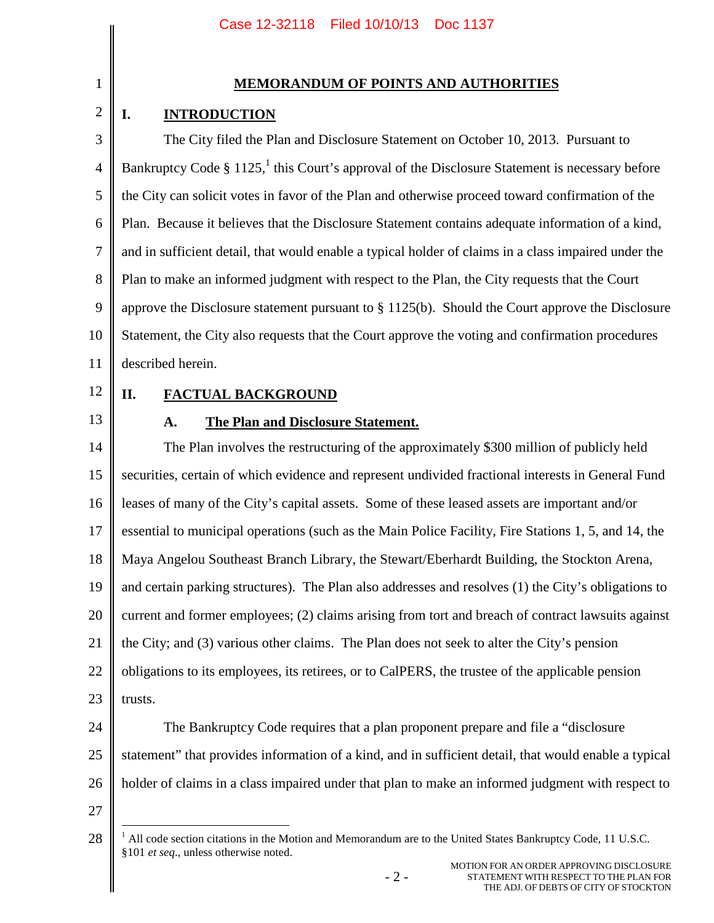# 1 2

### **MEMORANDUM OF POINTS AND AUTHORITIES**

## **I. INTRODUCTION**

3 4 5 6 7 8 9 10 11 The City filed the Plan and Disclosure Statement on October 10, 2013. Pursuant to Bankruptcy Code  $\S 1125$ , this Court's approval of the Disclosure Statement is necessary before the City can solicit votes in favor of the Plan and otherwise proceed toward confirmation of the Plan. Because it believes that the Disclosure Statement contains adequate information of a kind, and in sufficient detail, that would enable a typical holder of claims in a class impaired under the Plan to make an informed judgment with respect to the Plan, the City requests that the Court approve the Disclosure statement pursuant to § 1125(b). Should the Court approve the Disclosure Statement, the City also requests that the Court approve the voting and confirmation procedures described herein.

12

### **II. FACTUAL BACKGROUND**

13

### **A. The Plan and Disclosure Statement.**

14 15 16 17 18 19 20 21 22 23 The Plan involves the restructuring of the approximately \$300 million of publicly held securities, certain of which evidence and represent undivided fractional interests in General Fund leases of many of the City's capital assets. Some of these leased assets are important and/or essential to municipal operations (such as the Main Police Facility, Fire Stations 1, 5, and 14, the Maya Angelou Southeast Branch Library, the Stewart/Eberhardt Building, the Stockton Arena, and certain parking structures). The Plan also addresses and resolves (1) the City's obligations to current and former employees; (2) claims arising from tort and breach of contract lawsuits against the City; and (3) various other claims. The Plan does not seek to alter the City's pension obligations to its employees, its retirees, or to CalPERS, the trustee of the applicable pension trusts.

24 25 26 The Bankruptcy Code requires that a plan proponent prepare and file a "disclosure statement" that provides information of a kind, and in sufficient detail, that would enable a typical holder of claims in a class impaired under that plan to make an informed judgment with respect to

27

<sup>28</sup>  $1$  All code section citations in the Motion and Memorandum are to the United States Bankruptcy Code, 11 U.S.C. §101 *et seq*., unless otherwise noted.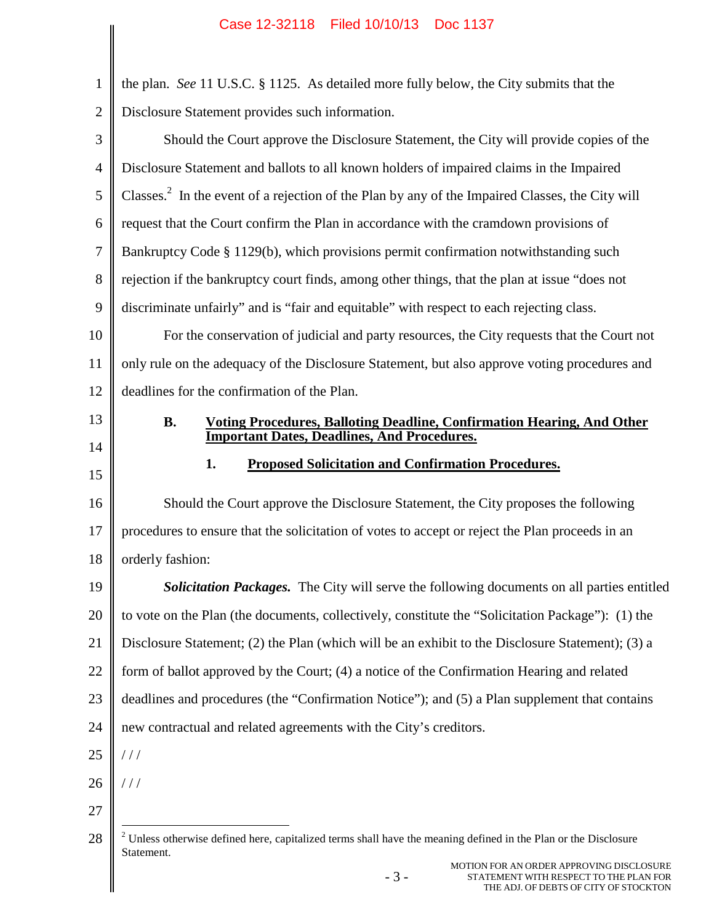| $\mathbf{1}$   | the plan. See 11 U.S.C. § 1125. As detailed more fully below, the City submits that the                                         |
|----------------|---------------------------------------------------------------------------------------------------------------------------------|
| $\overline{2}$ | Disclosure Statement provides such information.                                                                                 |
| 3              | Should the Court approve the Disclosure Statement, the City will provide copies of the                                          |
| 4              | Disclosure Statement and ballots to all known holders of impaired claims in the Impaired                                        |
| 5              | Classes. <sup>2</sup> In the event of a rejection of the Plan by any of the Impaired Classes, the City will                     |
| 6              | request that the Court confirm the Plan in accordance with the cramdown provisions of                                           |
| $\tau$         | Bankruptcy Code § 1129(b), which provisions permit confirmation notwithstanding such                                            |
| $8\,$          | rejection if the bankruptcy court finds, among other things, that the plan at issue "does not                                   |
| 9              | discriminate unfairly" and is "fair and equitable" with respect to each rejecting class.                                        |
| 10             | For the conservation of judicial and party resources, the City requests that the Court not                                      |
| 11             | only rule on the adequacy of the Disclosure Statement, but also approve voting procedures and                                   |
| 12             | deadlines for the confirmation of the Plan.                                                                                     |
| 13             | <b>B.</b><br><b>Voting Procedures, Balloting Deadline, Confirmation Hearing, And Other</b>                                      |
| 14             | <b>Important Dates, Deadlines, And Procedures.</b>                                                                              |
| 15             | 1.<br><b>Proposed Solicitation and Confirmation Procedures.</b>                                                                 |
|                |                                                                                                                                 |
| 16             | Should the Court approve the Disclosure Statement, the City proposes the following                                              |
| 17             | procedures to ensure that the solicitation of votes to accept or reject the Plan proceeds in an                                 |
| 18             | orderly fashion:                                                                                                                |
| 19             | Solicitation Packages. The City will serve the following documents on all parties entitled                                      |
| 20             | to vote on the Plan (the documents, collectively, constitute the "Solicitation Package"): (1) the                               |
| 21             | Disclosure Statement; (2) the Plan (which will be an exhibit to the Disclosure Statement); (3) a                                |
| 22             | form of ballot approved by the Court; (4) a notice of the Confirmation Hearing and related                                      |
| 23             | deadlines and procedures (the "Confirmation Notice"); and (5) a Plan supplement that contains                                   |
| 24             | new contractual and related agreements with the City's creditors.                                                               |
| 25             | //                                                                                                                              |
| 26             | //                                                                                                                              |
| 27             |                                                                                                                                 |
| 28             | $2$ Unless otherwise defined here, capitalized terms shall have the meaning defined in the Plan or the Disclosure<br>Statement. |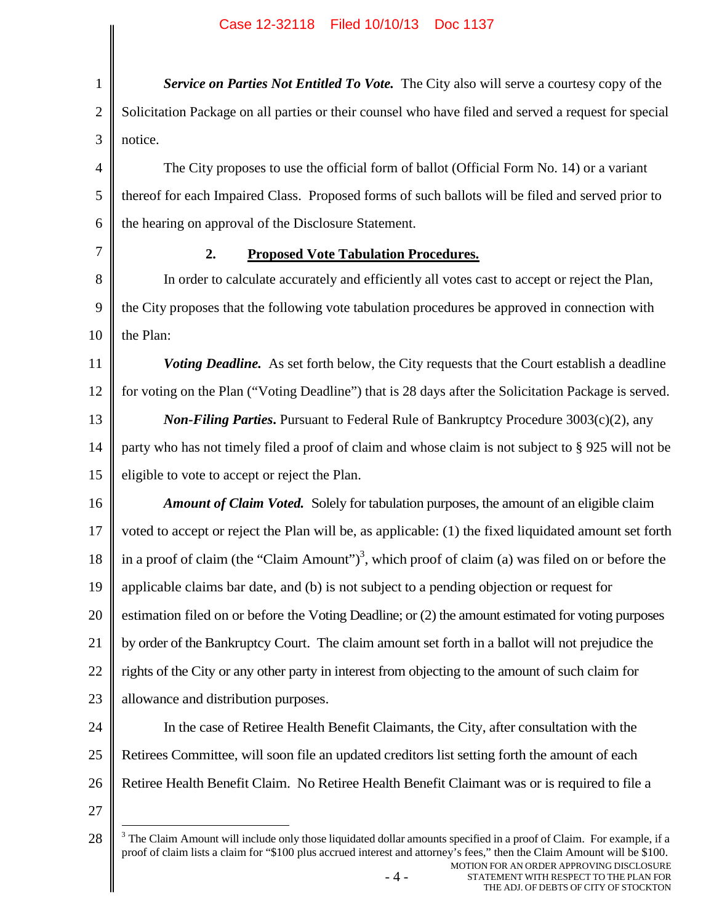MOTION FOR AN ORDER APPROVING DISCLOSURE 1 2 3 4 5 6 7 8 9 10 11 12 13 14 15 16 17 18 19 20 21 22 23 24 25 26 27 28 *Service on Parties Not Entitled To Vote.* The City also will serve a courtesy copy of the Solicitation Package on all parties or their counsel who have filed and served a request for special notice. The City proposes to use the official form of ballot (Official Form No. 14) or a variant thereof for each Impaired Class. Proposed forms of such ballots will be filed and served prior to the hearing on approval of the Disclosure Statement. **2. Proposed Vote Tabulation Procedures.** In order to calculate accurately and efficiently all votes cast to accept or reject the Plan, the City proposes that the following vote tabulation procedures be approved in connection with the Plan: *Voting Deadline.* As set forth below, the City requests that the Court establish a deadline for voting on the Plan ("Voting Deadline") that is 28 days after the Solicitation Package is served. *Non-Filing Parties***.** Pursuant to Federal Rule of Bankruptcy Procedure 3003(c)(2), any party who has not timely filed a proof of claim and whose claim is not subject to § 925 will not be eligible to vote to accept or reject the Plan. *Amount of Claim Voted.* Solely for tabulation purposes, the amount of an eligible claim voted to accept or reject the Plan will be, as applicable: (1) the fixed liquidated amount set forth in a proof of claim (the "Claim Amount")<sup>3</sup>, which proof of claim (a) was filed on or before the applicable claims bar date, and (b) is not subject to a pending objection or request for estimation filed on or before the Voting Deadline; or (2) the amount estimated for voting purposes by order of the Bankruptcy Court. The claim amount set forth in a ballot will not prejudice the rights of the City or any other party in interest from objecting to the amount of such claim for allowance and distribution purposes. In the case of Retiree Health Benefit Claimants, the City, after consultation with the Retirees Committee, will soon file an updated creditors list setting forth the amount of each Retiree Health Benefit Claim. No Retiree Health Benefit Claimant was or is required to file a  $3$  The Claim Amount will include only those liquidated dollar amounts specified in a proof of Claim. For example, if a proof of claim lists a claim for "\$100 plus accrued interest and attorney's fees," then the Claim Amount will be \$100.

- 4 -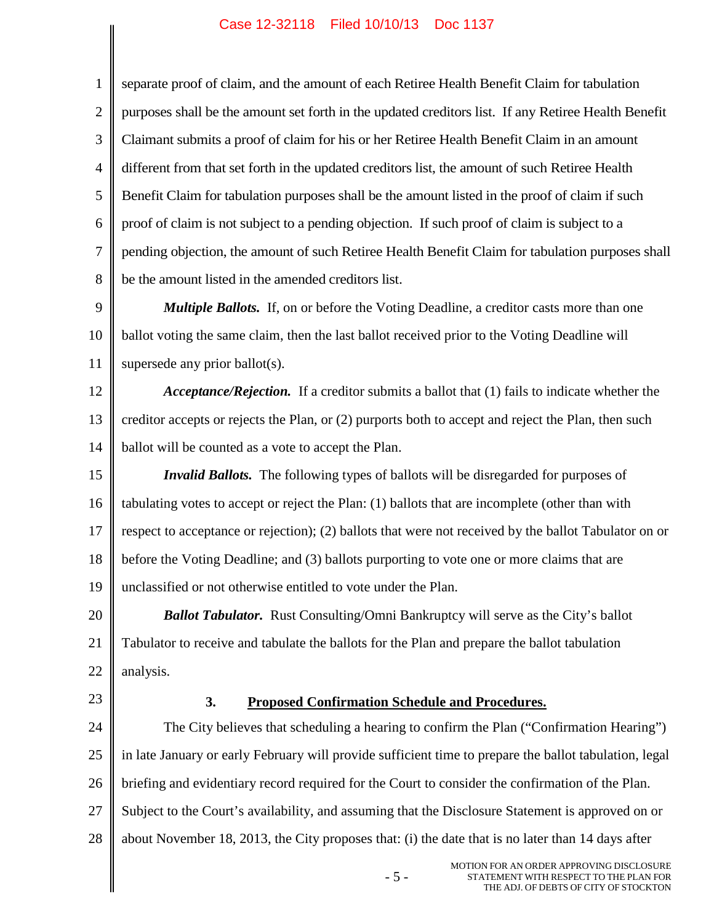1 2 3 4 5 6 7 8 separate proof of claim, and the amount of each Retiree Health Benefit Claim for tabulation purposes shall be the amount set forth in the updated creditors list. If any Retiree Health Benefit Claimant submits a proof of claim for his or her Retiree Health Benefit Claim in an amount different from that set forth in the updated creditors list, the amount of such Retiree Health Benefit Claim for tabulation purposes shall be the amount listed in the proof of claim if such proof of claim is not subject to a pending objection. If such proof of claim is subject to a pending objection, the amount of such Retiree Health Benefit Claim for tabulation purposes shall be the amount listed in the amended creditors list.

9 10 11 *Multiple Ballots.* If, on or before the Voting Deadline, a creditor casts more than one ballot voting the same claim, then the last ballot received prior to the Voting Deadline will supersede any prior ballot(s).

12 13 14 *Acceptance/Rejection.* If a creditor submits a ballot that (1) fails to indicate whether the creditor accepts or rejects the Plan, or (2) purports both to accept and reject the Plan, then such ballot will be counted as a vote to accept the Plan.

15 16 17 18 19 *Invalid Ballots.* The following types of ballots will be disregarded for purposes of tabulating votes to accept or reject the Plan: (1) ballots that are incomplete (other than with respect to acceptance or rejection); (2) ballots that were not received by the ballot Tabulator on or before the Voting Deadline; and (3) ballots purporting to vote one or more claims that are unclassified or not otherwise entitled to vote under the Plan.

20 21 22 *Ballot Tabulator.* Rust Consulting/Omni Bankruptcy will serve as the City's ballot Tabulator to receive and tabulate the ballots for the Plan and prepare the ballot tabulation analysis.

23

### **3. Proposed Confirmation Schedule and Procedures.**

24 25 26 27 28 The City believes that scheduling a hearing to confirm the Plan ("Confirmation Hearing") in late January or early February will provide sufficient time to prepare the ballot tabulation, legal briefing and evidentiary record required for the Court to consider the confirmation of the Plan. Subject to the Court's availability, and assuming that the Disclosure Statement is approved on or about November 18, 2013, the City proposes that: (i) the date that is no later than 14 days after

- 5 -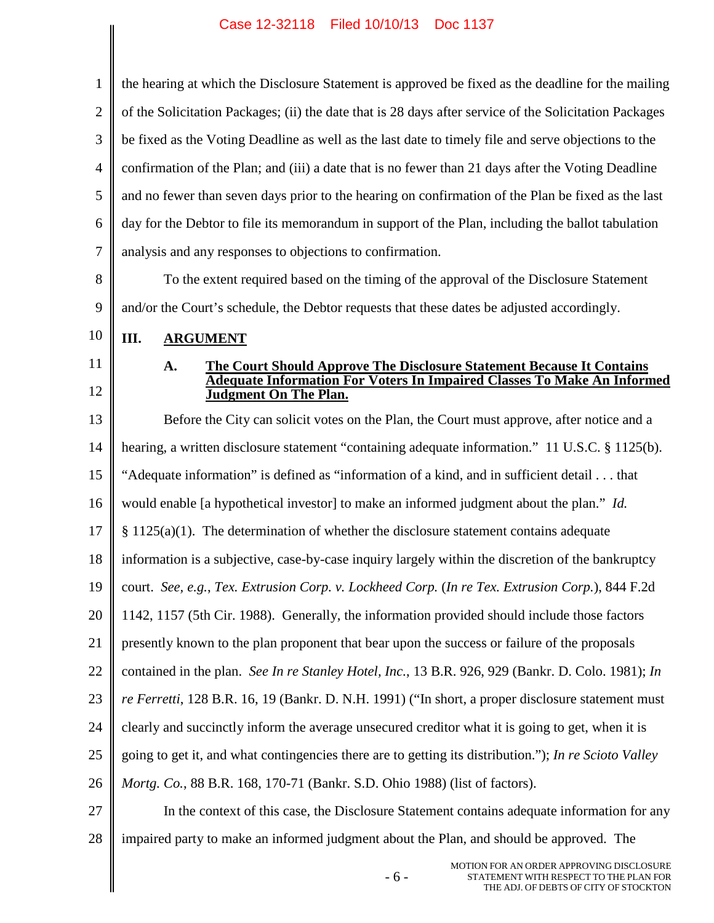$\parallel$ 

 $\overline{\phantom{a}}$ 

| 1              | the hearing at which the Disclosure Statement is approved be fixed as the deadline for the mailing                                                                                     |  |  |  |  |
|----------------|----------------------------------------------------------------------------------------------------------------------------------------------------------------------------------------|--|--|--|--|
| $\overline{2}$ | of the Solicitation Packages; (ii) the date that is 28 days after service of the Solicitation Packages                                                                                 |  |  |  |  |
| 3              | be fixed as the Voting Deadline as well as the last date to timely file and serve objections to the                                                                                    |  |  |  |  |
| 4              | confirmation of the Plan; and (iii) a date that is no fewer than 21 days after the Voting Deadline                                                                                     |  |  |  |  |
| 5              | and no fewer than seven days prior to the hearing on confirmation of the Plan be fixed as the last                                                                                     |  |  |  |  |
| 6              | day for the Debtor to file its memorandum in support of the Plan, including the ballot tabulation                                                                                      |  |  |  |  |
| 7              | analysis and any responses to objections to confirmation.                                                                                                                              |  |  |  |  |
| 8              | To the extent required based on the timing of the approval of the Disclosure Statement                                                                                                 |  |  |  |  |
| 9              | and/or the Court's schedule, the Debtor requests that these dates be adjusted accordingly.                                                                                             |  |  |  |  |
| 10             | Ш.<br><b>ARGUMENT</b>                                                                                                                                                                  |  |  |  |  |
| 11<br>12       | The Court Should Approve The Disclosure Statement Because It Contains<br>A.<br><b>Adequate Information For Voters In Impaired Classes To Make An Informed</b><br>Judgment On The Plan. |  |  |  |  |
| 13             | Before the City can solicit votes on the Plan, the Court must approve, after notice and a                                                                                              |  |  |  |  |
| 14             | hearing, a written disclosure statement "containing adequate information." 11 U.S.C. § 1125(b).                                                                                        |  |  |  |  |
| 15             | "Adequate information" is defined as "information of a kind, and in sufficient detail that                                                                                             |  |  |  |  |
| 16             | would enable [a hypothetical investor] to make an informed judgment about the plan." Id.                                                                                               |  |  |  |  |
| 17             | $\S 1125(a)(1)$ . The determination of whether the disclosure statement contains adequate                                                                                              |  |  |  |  |
| 18             | information is a subjective, case-by-case inquiry largely within the discretion of the bankruptcy                                                                                      |  |  |  |  |
| 19             | court. See, e.g., Tex. Extrusion Corp. v. Lockheed Corp. (In re Tex. Extrusion Corp.), 844 F.2d                                                                                        |  |  |  |  |
| 20             | 1142, 1157 (5th Cir. 1988). Generally, the information provided should include those factors                                                                                           |  |  |  |  |
| 21             | presently known to the plan proponent that bear upon the success or failure of the proposals                                                                                           |  |  |  |  |
| 22             | contained in the plan. See In re Stanley Hotel, Inc., 13 B.R. 926, 929 (Bankr. D. Colo. 1981); In                                                                                      |  |  |  |  |
| 23             | re Ferretti, 128 B.R. 16, 19 (Bankr. D. N.H. 1991) ("In short, a proper disclosure statement must                                                                                      |  |  |  |  |
| 24             | clearly and succinctly inform the average unsecured creditor what it is going to get, when it is                                                                                       |  |  |  |  |
| 25             | going to get it, and what contingencies there are to getting its distribution."); In re Scioto Valley                                                                                  |  |  |  |  |
| 26             | Mortg. Co., 88 B.R. 168, 170-71 (Bankr. S.D. Ohio 1988) (list of factors).                                                                                                             |  |  |  |  |
| 27             | In the context of this case, the Disclosure Statement contains adequate information for any                                                                                            |  |  |  |  |
| 28             | impaired party to make an informed judgment about the Plan, and should be approved. The                                                                                                |  |  |  |  |
|                | MOTION FOR AN ORDER APPROVING DISCLOSURE<br>$-6-$<br>STATEMENT WITH RESPECT TO THE PLAN FOR<br>THE ADJ. OF DEBTS OF CITY OF STOCKTON                                                   |  |  |  |  |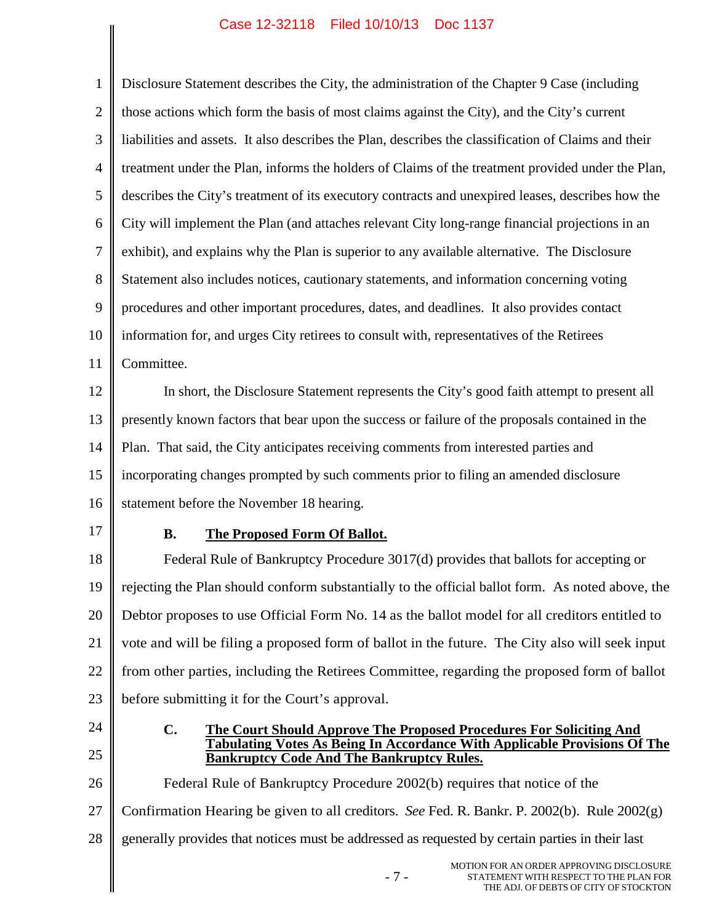$\mathsf{I}$ 

| $\mathbf{1}$   | Disclosure Statement describes the City, the administration of the Chapter 9 Case (including                                  |  |  |  |
|----------------|-------------------------------------------------------------------------------------------------------------------------------|--|--|--|
| $\overline{2}$ | those actions which form the basis of most claims against the City), and the City's current                                   |  |  |  |
| 3              | liabilities and assets. It also describes the Plan, describes the classification of Claims and their                          |  |  |  |
| $\overline{4}$ | treatment under the Plan, informs the holders of Claims of the treatment provided under the Plan,                             |  |  |  |
| 5              | describes the City's treatment of its executory contracts and unexpired leases, describes how the                             |  |  |  |
| 6              | City will implement the Plan (and attaches relevant City long-range financial projections in an                               |  |  |  |
| $\overline{7}$ | exhibit), and explains why the Plan is superior to any available alternative. The Disclosure                                  |  |  |  |
| 8              | Statement also includes notices, cautionary statements, and information concerning voting                                     |  |  |  |
| 9              | procedures and other important procedures, dates, and deadlines. It also provides contact                                     |  |  |  |
| 10             | information for, and urges City retirees to consult with, representatives of the Retirees                                     |  |  |  |
| 11             | Committee.                                                                                                                    |  |  |  |
| 12             | In short, the Disclosure Statement represents the City's good faith attempt to present all                                    |  |  |  |
| 13             | presently known factors that bear upon the success or failure of the proposals contained in the                               |  |  |  |
| 14             | Plan. That said, the City anticipates receiving comments from interested parties and                                          |  |  |  |
| 15             | incorporating changes prompted by such comments prior to filing an amended disclosure                                         |  |  |  |
| 16             | statement before the November 18 hearing.                                                                                     |  |  |  |
| 17             | <b>The Proposed Form Of Ballot.</b><br><b>B.</b>                                                                              |  |  |  |
| 18             | Federal Rule of Bankruptcy Procedure 3017(d) provides that ballots for accepting or                                           |  |  |  |
| 19             | rejecting the Plan should conform substantially to the official ballot form. As noted above, the                              |  |  |  |
| 20             | Debtor proposes to use Official Form No. 14 as the ballot model for all creditors entitled to                                 |  |  |  |
| 21             | vote and will be filing a proposed form of ballot in the future. The City also will seek input                                |  |  |  |
| 22             | from other parties, including the Retirees Committee, regarding the proposed form of ballot                                   |  |  |  |
| 23             |                                                                                                                               |  |  |  |
| 24             | before submitting it for the Court's approval.                                                                                |  |  |  |
|                | $C_{\bullet}$<br>The Court Should Approve The Proposed Procedures For Soliciting And                                          |  |  |  |
| 25             | Tabulating Votes As Being In Accordance With Applicable Provisions Of The<br><b>Bankruptcy Code And The Bankruptcy Rules.</b> |  |  |  |
| 26             | Federal Rule of Bankruptcy Procedure 2002(b) requires that notice of the                                                      |  |  |  |
| 27             | Confirmation Hearing be given to all creditors. See Fed. R. Bankr. P. 2002(b). Rule $2002(g)$                                 |  |  |  |
| 28             | generally provides that notices must be addressed as requested by certain parties in their last                               |  |  |  |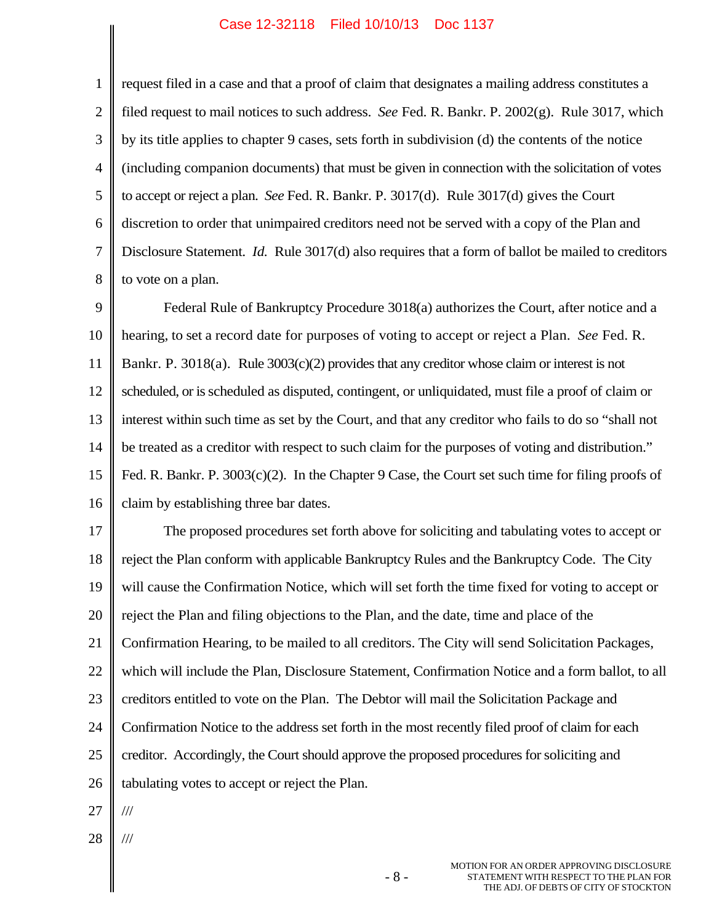1

4 5 6 7 8 request filed in a case and that a proof of claim that designates a mailing address constitutes a filed request to mail notices to such address. *See* Fed. R. Bankr. P. 2002(g). Rule 3017, which by its title applies to chapter 9 cases, sets forth in subdivision (d) the contents of the notice (including companion documents) that must be given in connection with the solicitation of votes to accept or reject a plan. *See* Fed. R. Bankr. P. 3017(d). Rule 3017(d) gives the Court discretion to order that unimpaired creditors need not be served with a copy of the Plan and Disclosure Statement. *Id.* Rule 3017(d) also requires that a form of ballot be mailed to creditors to vote on a plan.

9 10 11 12 13 14 15 16 Federal Rule of Bankruptcy Procedure 3018(a) authorizes the Court, after notice and a hearing, to set a record date for purposes of voting to accept or reject a Plan. *See* Fed. R. Bankr. P. 3018(a). Rule 3003(c)(2) provides that any creditor whose claim or interest is not scheduled, or is scheduled as disputed, contingent, or unliquidated, must file a proof of claim or interest within such time as set by the Court, and that any creditor who fails to do so "shall not be treated as a creditor with respect to such claim for the purposes of voting and distribution." Fed. R. Bankr. P. 3003(c)(2). In the Chapter 9 Case, the Court set such time for filing proofs of claim by establishing three bar dates.

17 18 19 20 21 22 23 24 25 26 The proposed procedures set forth above for soliciting and tabulating votes to accept or reject the Plan conform with applicable Bankruptcy Rules and the Bankruptcy Code. The City will cause the Confirmation Notice, which will set forth the time fixed for voting to accept or reject the Plan and filing objections to the Plan, and the date, time and place of the Confirmation Hearing, to be mailed to all creditors. The City will send Solicitation Packages, which will include the Plan, Disclosure Statement, Confirmation Notice and a form ballot, to all creditors entitled to vote on the Plan. The Debtor will mail the Solicitation Package and Confirmation Notice to the address set forth in the most recently filed proof of claim for each creditor. Accordingly, the Court should approve the proposed procedures for soliciting and tabulating votes to accept or reject the Plan.

- 27 ///
- 28 ///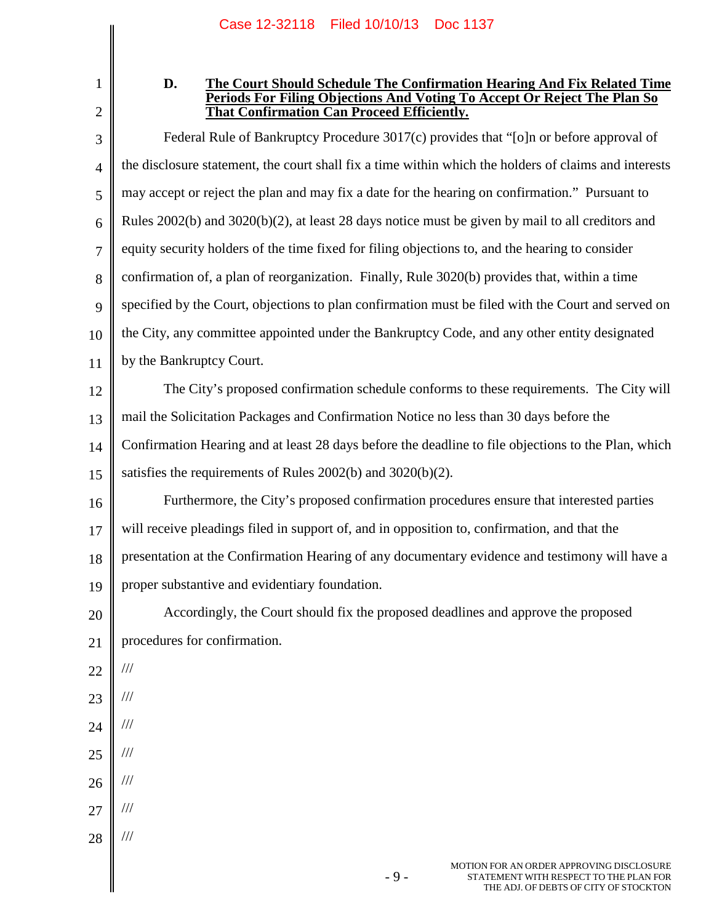1 2

#### **D. The Court Should Schedule The Confirmation Hearing And Fix Related Time Periods For Filing Objections And Voting To Accept Or Reject The Plan So That Confirmation Can Proceed Efficiently.**

3 4 5 6 7 8 9 10 11 12 13 14 15 16 17 18 19 20 21 22 23 24 25 26 27 28 Federal Rule of Bankruptcy Procedure 3017(c) provides that "[o]n or before approval of the disclosure statement, the court shall fix a time within which the holders of claims and interests may accept or reject the plan and may fix a date for the hearing on confirmation." Pursuant to Rules 2002(b) and 3020(b)(2), at least 28 days notice must be given by mail to all creditors and equity security holders of the time fixed for filing objections to, and the hearing to consider confirmation of, a plan of reorganization. Finally, Rule 3020(b) provides that, within a time specified by the Court, objections to plan confirmation must be filed with the Court and served on the City, any committee appointed under the Bankruptcy Code, and any other entity designated by the Bankruptcy Court. The City's proposed confirmation schedule conforms to these requirements. The City will mail the Solicitation Packages and Confirmation Notice no less than 30 days before the Confirmation Hearing and at least 28 days before the deadline to file objections to the Plan, which satisfies the requirements of Rules 2002(b) and 3020(b)(2). Furthermore, the City's proposed confirmation procedures ensure that interested parties will receive pleadings filed in support of, and in opposition to, confirmation, and that the presentation at the Confirmation Hearing of any documentary evidence and testimony will have a proper substantive and evidentiary foundation. Accordingly, the Court should fix the proposed deadlines and approve the proposed procedures for confirmation. /// /// /// /// /// /// ///